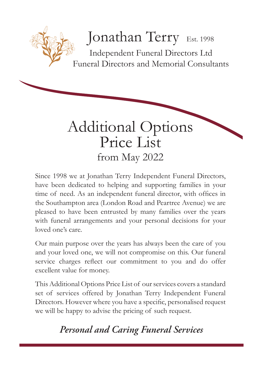# Jonathan Terry Est. 1998

Independent Funeral Directors Ltd Funeral Directors and Memorial Consultants



Since 1998 we at Jonathan Terry Independent Funeral Directors, have been dedicated to helping and supporting families in your time of need. As an independent funeral director, with offices in the Southampton area (London Road and Peartree Avenue) we are pleased to have been entrusted by many families over the years with funeral arrangements and your personal decisions for your loved one's care.

Our main purpose over the years has always been the care of you and your loved one, we will not compromise on this. Our funeral service charges reflect our commitment to you and do offer excellent value for money.

This Additional Options Price List of our services covers a standard set of services offered by Jonathan Terry Independent Funeral Directors. However where you have a specific, personalised request we will be happy to advise the pricing of such request.

## *Personal and Caring Funeral Services*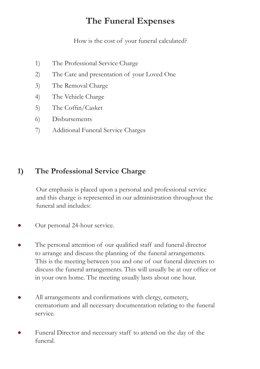## **The Funeral Expenses**

How is the cost of your funeral calculated?

- 1) The Professional Service Charge
- 2) The Care and presentation of your Loved One
- 3) The Removal Charge
- 4) The Vehicle Charge
- 5) The Coffin/Casket
- 6) Disbursements
- 7) Additional Funeral Service Charges

## **1) The Professional Service Charge**

Our emphasis is placed upon a personal and professional service and this charge is represented in our administration throughout the funeral and includes:

- Our personal 24-hour service.
- The personal attention of our qualified staff and funeral director to arrange and discuss the planning of the funeral arrangements. This is the meeting between you and one of our funeral directors to discuss the funeral arrangements. This will usually be at our office or in your own home. The meeting usually lasts about one hour.
- All arrangements and confirmations with clergy, cemetery, crematorium and all necessary documentation relating to the funeral service.
- Funeral Director and necessary staff to attend on the day of the funeral.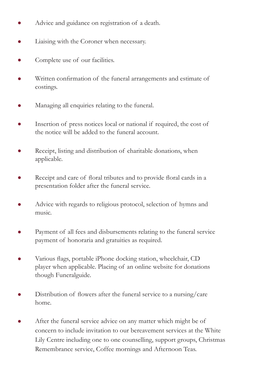- Advice and guidance on registration of a death.
- Liaising with the Coroner when necessary.
- Complete use of our facilities.
- Written confirmation of the funeral arrangements and estimate of costings.
- Managing all enquiries relating to the funeral.
- Insertion of press notices local or national if required, the cost of the notice will be added to the funeral account.
- Receipt, listing and distribution of charitable donations, when applicable.
- Receipt and care of floral tributes and to provide floral cards in a presentation folder after the funeral service.
- Advice with regards to religious protocol, selection of hymns and music.
- Payment of all fees and disbursements relating to the funeral service payment of honoraria and gratuities as required.
- Various flags, portable iPhone docking station, wheelchair, CD player when applicable. Placing of an online website for donations though Funeralguide.
- Distribution of flowers after the funeral service to a nursing/care home.
- After the funeral service advice on any matter which might be of concern to include invitation to our bereavement services at the White Lily Centre including one to one counselling, support groups, Christmas Remembrance service, Coffee mornings and Afternoon Teas.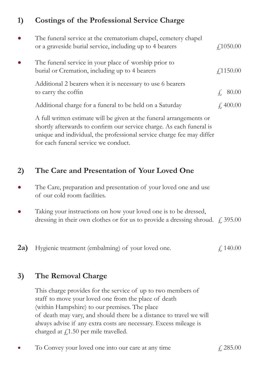## **1) Costings of the Professional Service Charge**

| $\bullet$ | The funeral service at the crematorium chapel, cemetery chapel<br>or a graveside burial service, including up to 4 bearers | $\angle 1050.00$ |
|-----------|----------------------------------------------------------------------------------------------------------------------------|------------------|
| $\bullet$ | The funeral service in your place of worship prior to<br>burial or Cremation, including up to 4 bearers                    | $\angle 1150.00$ |
|           | Additional 2 bearers when it is necessary to use 6 bearers<br>to carry the coffin                                          | f. 80.00         |
|           | Additional charge for a funeral to be held on a Saturday                                                                   | f. 400.00        |
|           | A full written estimate will be given at the funeral arrangements or                                                       |                  |

shortly afterwards to confirm our service charge. As each funeral is unique and individual, the professional service charge fee may differ for each funeral service we conduct.

## **2) The Care and Presentation of Your Loved One**

- The Care, preparation and presentation of your loved one and use of our cold room facilities.
- Taking your instructions on how your loved one is to be dressed, dressing in their own clothes or for us to provide a dressing shroud.  $\angle$  395.00
- **2a)** Hygienic treatment (embalming) of your loved one.  $\angle 140.00$

## **3) The Removal Charge**

This charge provides for the service of up to two members of staff to move your loved one from the place of death (within Hampshire) to our premises. The place of death may vary, and should there be a distance to travel we will always advise if any extra costs are necessary. Excess mileage is charged at  $f(1.50)$  per mile travelled.

To Convey your loved one into our care at any time  $\frac{1}{2}$  285.00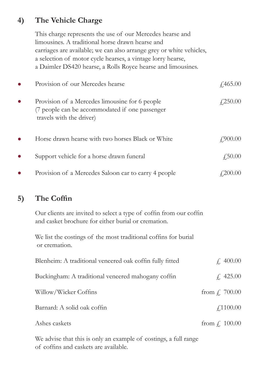## **4) The Vehicle Charge**

This charge represents the use of our Mercedes hearse and limousines. A traditional horse drawn hearse and carriages are available; we can also arrange grey or white vehicles, a selection of motor cycle hearses, a vintage lorry hearse, a Daimler DS420 hearse, a Rolls Royce hearse and limousines.

| $\bullet$ | Provision of our Mercedes hearse                                                                                             | $\angle 465.00$ |
|-----------|------------------------------------------------------------------------------------------------------------------------------|-----------------|
| $\bullet$ | Provision of a Mercedes limousine for 6 people<br>(7 people can be accommodated if one passenger<br>travels with the driver) | $\angle 250.00$ |
| $\bullet$ | Horse drawn hearse with two horses Black or White                                                                            | £900.00         |
| $\bullet$ | Support vehicle for a horse drawn funeral                                                                                    | $\angle 50.00$  |
|           | Provision of a Mercedes Saloon car to carry 4 people                                                                         | 4200.00         |

## **5) The Coffin**

Our clients are invited to select a type of coffin from our coffin and casket brochure for either burial or cremation.

We list the costings of the most traditional coffins for burial or cremation.

| Blenheim: A traditional veneered oak coffin fully fitted | $\neq$ 400.00                 |
|----------------------------------------------------------|-------------------------------|
| Buckingham: A traditional veneered mahogany coffin       | f. 425.00                     |
| Willow/Wicker Coffins                                    | from $\int$ , 700.00          |
| Barnard: A solid oak coffin                              | $\text{\textsterling}1100.00$ |
| Ashes caskets                                            | from $f$ , 100.00             |

We advise that this is only an example of costings, a full range of coffins and caskets are available.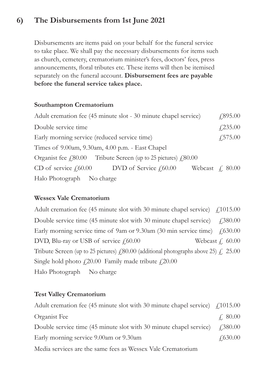## **6) The Disbursements from 1st June 2021**

Disbursements are items paid on your behalf for the funeral service to take place. We shall pay the necessary disbursements for items such as church, cemetery, crematorium minister's fees, doctors' fees, press announcements, floral tributes etc. These items will then be itemised separately on the funeral account. **Disbursement fees are payable before the funeral service takes place.**

#### **Southampton Crematorium**

| Adult cremation fee (45 minute slot - 30 minute chapel service)           | $\sqrt{.895.00}$ |
|---------------------------------------------------------------------------|------------------|
| Double service time                                                       | $\sqrt{235.00}$  |
| Early morning service (reduced service time)                              | $\sqrt{575.00}$  |
| Times of 9.00am, 9.30am, 4.00 p.m. - East Chapel                          |                  |
| Organist fee $\ell$ 80.00 Tribute Screen (up to 25 pictures) $\ell$ 80.00 |                  |
| CD of service $f60.00$ DVD of Service $f60.00$<br>Webcast $\neq$ 80.00    |                  |
| Halo Photograph No charge                                                 |                  |

#### **Wessex Vale Crematorium**

Adult cremation fee (45 minute slot with 30 minute chapel service)  $\int$  (1015.00 Double service time (45 minute slot with 30 minute chapel service)  $\text{\textsterling}380.00$ Early morning service time of 9am or 9.30am (30 min service time)  $\neq$  630.00 DVD, Blu-ray or USB of service  $f<sub>1</sub>60.00$  Webcast  $f<sub>1</sub>60.00$ Tribute Screen (up to 25 pictures)  $\angle$  (80.00 (additional photographs above 25)  $\angle$  25.00 Single hold photo  $f(20.00)$  Family made tribute  $f(20.00)$ Halo Photograph No charge

#### **Test Valley Crematorium**

| Adult cremation fee (45 minute slot with 30 minute chapel service) $\int$ (1015.00 |                 |
|------------------------------------------------------------------------------------|-----------------|
| Organist Fee                                                                       | f. 80.00        |
| Double service time (45 minute slot with 30 minute chapel service)                 | 4380.00         |
| Early morning service 9.00am or 9.30am                                             | $\sqrt{630.00}$ |
| Media services are the same fees as Wessex Vale Crematorium                        |                 |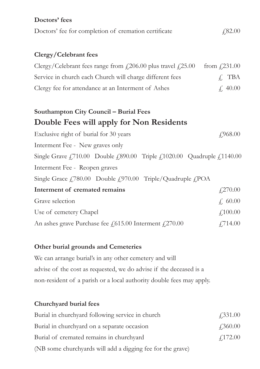| Doctors' fees                                                                                                                                              |                                   |
|------------------------------------------------------------------------------------------------------------------------------------------------------------|-----------------------------------|
| Doctors' fee for completion of cremation certificate                                                                                                       | £,82.00                           |
|                                                                                                                                                            |                                   |
| Clergy/Celebrant fees                                                                                                                                      |                                   |
| Clergy/Celebrant fees range from $f(206.00)$ plus travel $f(25.00)$                                                                                        | from $\text{\textsterling}231.00$ |
| Service in church each Church will charge different fees                                                                                                   | $f$ , TBA                         |
| Clergy fee for attendance at an Interment of Ashes                                                                                                         | f, 40.00                          |
|                                                                                                                                                            |                                   |
| Southampton City Council - Burial Fees                                                                                                                     |                                   |
| Double Fees will apply for Non Residents                                                                                                                   |                                   |
| Exclusive right of burial for 30 years                                                                                                                     | £968.00                           |
| Interment Fee - New graves only                                                                                                                            |                                   |
| Single Grave $\text{\textsterling}710.00$ Double $\text{\textsterling}890.00$ Triple $\text{\textsterling}1020.00$ Quadruple $\text{\textsterling}1140.00$ |                                   |
| Interment Fee - Reopen graves                                                                                                                              |                                   |
| Single Grace £780.00 Double £970.00 Triple/Quadruple £POA                                                                                                  |                                   |
| Interment of cremated remains                                                                                                                              | £270.00                           |
| Grave selection                                                                                                                                            | f, 60.00                          |
| Use of cemetery Chapel                                                                                                                                     | £,100.00                          |
| An ashes grave Purchase fee £615.00 Interment £270.00                                                                                                      | £714.00                           |

#### **Other burial grounds and Cemeteries**

We can arrange burial's in any other cemetery and will advise of the cost as requested, we do advise if the deceased is a non-resident of a parish or a local authority double fees may apply.

### **Churchyard burial fees**

| Burial in churchyard following service in church           | $\angle 331.00$ |
|------------------------------------------------------------|-----------------|
| Burial in churchyard on a separate occasion                | $\angle 360.00$ |
| Burial of cremated remains in churchyard                   | $\angle 172.00$ |
| (NB some churchyards will add a digging fee for the grave) |                 |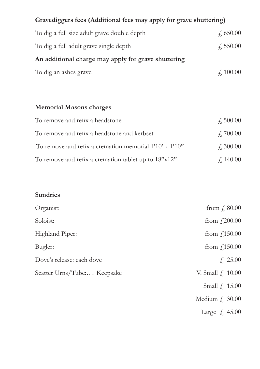| Gravediggers fees (Additional fees may apply for grave shuttering) |                    |  |  |
|--------------------------------------------------------------------|--------------------|--|--|
| To dig a full size adult grave double depth                        | $\sqrt{650.00}$    |  |  |
| To dig a full adult grave single depth                             | $\sqrt{550.00}$    |  |  |
| An additional charge may apply for grave shuttering                |                    |  |  |
| To dig an ashes grave                                              | $\angle 100.00$    |  |  |
|                                                                    |                    |  |  |
|                                                                    |                    |  |  |
| <b>Memorial Masons charges</b>                                     |                    |  |  |
| To remove and refix a headstone                                    | $f_{\rm s}$ 500.00 |  |  |
| To remove and refix a headstone and kerbset                        | f.700.00           |  |  |
| To remove and refix a cremation memorial 1'10' x 1'10"             | $\angle 300.00$    |  |  |

| To remove and refix a cremation tablet up to 18"x12" |  | f, 140.00 |
|------------------------------------------------------|--|-----------|

## **Sundries**

| Organist:                   | from $\int$ , 80.00   |
|-----------------------------|-----------------------|
| Soloist:                    | from $f(200.00)$      |
| Highland Piper:             | from $f$ 150.00       |
| Bugler:                     | from $f$ 150.00       |
| Dove's release: each dove   | $\neq$ 25.00          |
| Scatter Urns/Tube: Keepsake | V. Small $fi$ , 10.00 |
|                             | Small $\int$ , 15.00  |
|                             | Medium $f$ , 30.00    |
|                             | Large $f$ , 45.00     |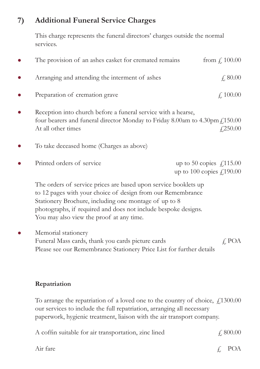## **7) Additional Funeral Service Charges**

This charge represents the funeral directors' charges outside the normal services.

| The provision of an ashes casket for cremated remains                                                                                                                                                                                                                                                 | from $f$ , 100.00                                                                |
|-------------------------------------------------------------------------------------------------------------------------------------------------------------------------------------------------------------------------------------------------------------------------------------------------------|----------------------------------------------------------------------------------|
| Arranging and attending the interment of ashes                                                                                                                                                                                                                                                        | $\neq$ , 80.00                                                                   |
| Preparation of cremation grave                                                                                                                                                                                                                                                                        | $\text{\textsterling}100.00$                                                     |
| Reception into church before a funeral service with a hearse,<br>four bearers and funeral director Monday to Friday 8.00am to 4.30pm $f_1$ 150.00<br>At all other times                                                                                                                               | £250.00                                                                          |
| To take deceased home (Charges as above)                                                                                                                                                                                                                                                              |                                                                                  |
| Printed orders of service                                                                                                                                                                                                                                                                             | up to 50 copies $\angle 115.00$<br>up to 100 copies $\text{\textsterling}190.00$ |
| The orders of service prices are based upon service booklets up<br>to 12 pages with your choice of design from our Remembrance<br>Stationery Brochure, including one montage of up to 8<br>photographs, if required and does not include bespoke designs.<br>You may also view the proof at any time. |                                                                                  |
| Memorial stationery<br>Funeral Mass cards, thank you cards picture cards<br>Please see our Remembrance Stationery Price List for further details                                                                                                                                                      | $f$ , POA                                                                        |
| Repatriation                                                                                                                                                                                                                                                                                          |                                                                                  |
| To arrange the repatriation of a loved one to the country of choice, $\text{\textsterling}1300.00$<br>our services to include the full repatriation, arranging all necessary<br>paperwork, hygienic treatment, liaison with the air transport company.                                                |                                                                                  |

| A coffin suitable for air transportation, zinc lined | f: 800.00    |
|------------------------------------------------------|--------------|
| Air fare                                             | $\angle$ POA |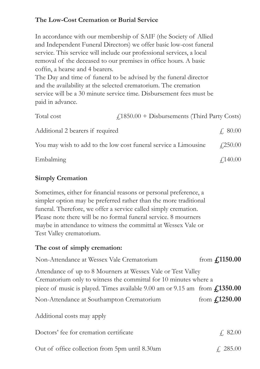#### **The Low-Cost Cremation or Burial Service**

In accordance with our membership of SAIF (the Society of Allied and Independent Funeral Directors) we offer basic low-cost funeral service. This service will include our professional services, a local removal of the deceased to our premises in office hours. A basic coffin, a hearse and 4 bearers.

The Day and time of funeral to be advised by the funeral director and the availability at the selected crematorium. The cremation service will be a 30 minute service time. Disbursement fees must be paid in advance.

| Total cost                       | $(1850.00 + \text{Disbursements (Third Party Costs})$           |                 |
|----------------------------------|-----------------------------------------------------------------|-----------------|
| Additional 2 bearers if required |                                                                 | $\neq$ 80.00    |
|                                  | You may wish to add to the low cost funeral service a Limousine | $\angle 250.00$ |
| Embalming                        |                                                                 | f140.00         |

#### **Simply Cremation**

Sometimes, either for financial reasons or personal preference, a simpler option may be preferred rather than the more traditional funeral. Therefore, we offer a service called simply cremation. Please note there will be no formal funeral service. 8 mourners maybe in attendance to witness the committal at Wessex Vale or Test Valley crematorium.

#### **The cost of simply cremation:**

| Non-Attendance at Wessex Vale Crematorium                                                                                        | from $f_{1150.00}$   |  |  |
|----------------------------------------------------------------------------------------------------------------------------------|----------------------|--|--|
| Attendance of up to 8 Mourners at Wessex Vale or Test Valley<br>Crematorium only to witness the committal for 10 minutes where a |                      |  |  |
| piece of music is played. Times available $9.00$ am or $9.15$ am from $\textbf{\textsterling}1350.00$                            |                      |  |  |
| Non-Attendance at Southampton Crematorium                                                                                        | from $f_{12}1250.00$ |  |  |
| Additional costs may apply                                                                                                       |                      |  |  |
| Doctors' fee for cremation certificate                                                                                           | f. 82.00             |  |  |
| Out of office collection from 5pm until 8.30am                                                                                   | $\neq$ , 285.00      |  |  |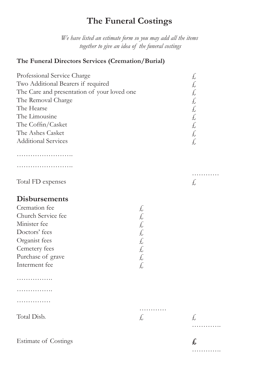## **The Funeral Costings**

*We have listed an estimate form so you may add all the items together to give an idea of the funeral costings*

#### **The Funeral Directors Services (Cremation/Burial)**

| Professional Service Charge                 |    | Ł,      |
|---------------------------------------------|----|---------|
| Two Additional Bearers if required          |    | £,      |
| The Care and presentation of your loved one |    | £,      |
| The Removal Charge                          |    | £,      |
| The Hearse                                  |    | £,      |
| The Limousine                               |    | £,      |
| The Coffin/Casket                           |    | £,      |
| The Ashes Casket                            |    | £,      |
| <b>Additional Services</b>                  |    | £,      |
|                                             |    |         |
| .                                           |    |         |
| Total FD expenses                           |    | .<br>£, |
| <b>Disbursements</b>                        |    |         |
| Cremation fee                               | £, |         |
| Church Service fee                          | £, |         |
| Minister fee                                | £, |         |
| Doctors' fees                               | £, |         |
| Organist fees                               | £, |         |
| Cemetery fees                               | £, |         |
| Purchase of grave                           | £  |         |
| Interment fee                               | £, |         |
| .                                           |    |         |
| .                                           |    |         |
| .                                           |    |         |
| Total Disb.                                 | .  |         |
|                                             | £, | £,      |
|                                             |    |         |
|                                             |    |         |

………….

Estimate of Costings **£**